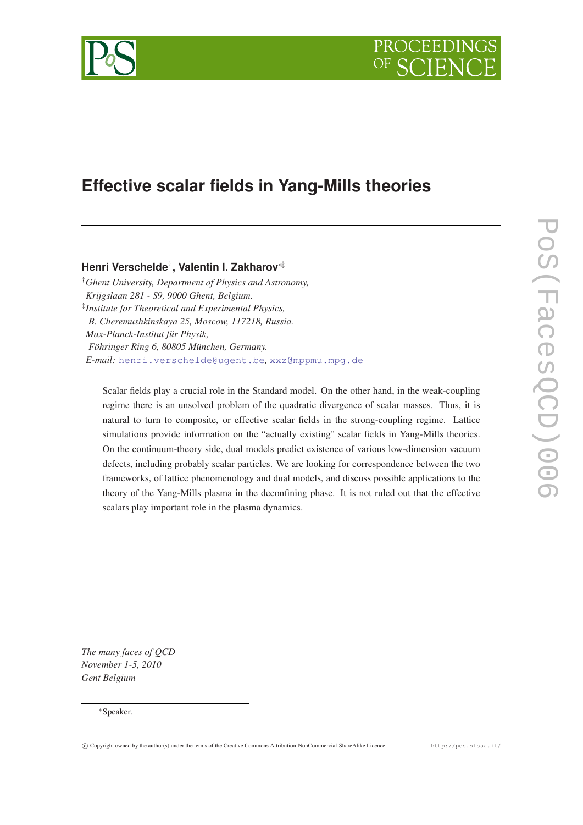



# **Effective scalar fields in Yang-Mills theories**

# **Henri Verschelde**† **, Valentin I. Zakharov**∗‡

†*Ghent University, Department of Physics and Astronomy, Krijgslaan 281 - S9, 9000 Ghent, Belgium.* ‡ *Institute for Theoretical and Experimental Physics, B. Cheremushkinskaya 25, Moscow, 117218, Russia. Max-Planck-Institut für Physik, Föhringer Ring 6, 80805 München, Germany. E-mail:* [henri.verschelde@ugent.be](mailto:henri.verschelde@ugent.be)*,* [xxz@mppmu.mpg.de](mailto:xxz@mppmu.mpg.de)

Scalar fields play a crucial role in the Standard model. On the other hand, in the weak-coupling regime there is an unsolved problem of the quadratic divergence of scalar masses. Thus, it is natural to turn to composite, or effective scalar fields in the strong-coupling regime. Lattice simulations provide information on the "actually existing" scalar fields in Yang-Mills theories. On the continuum-theory side, dual models predict existence of various low-dimension vacuum defects, including probably scalar particles. We are looking for correspondence between the two frameworks, of lattice phenomenology and dual models, and discuss possible applications to the theory of the Yang-Mills plasma in the deconfining phase. It is not ruled out that the effective scalars play important role in the plasma dynamics.

*The many faces of QCD November 1-5, 2010 Gent Belgium*

<sup>∗</sup>Speaker.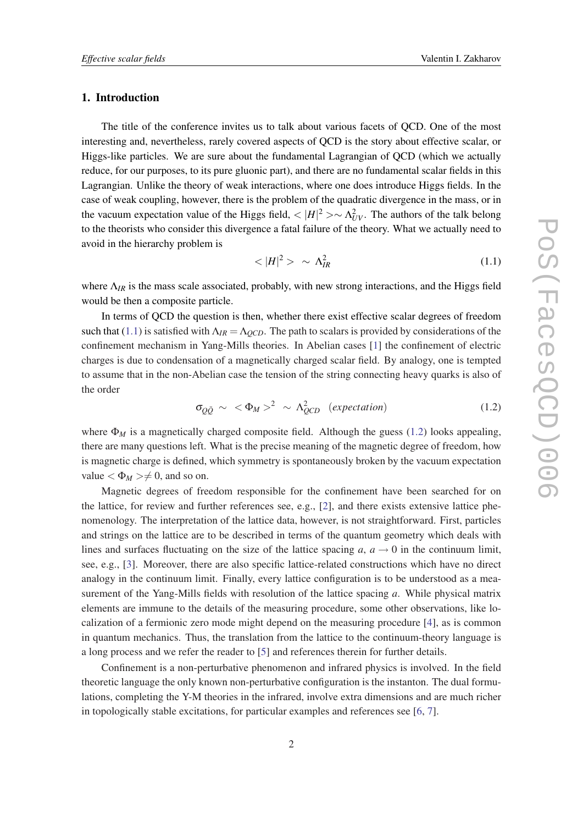### <span id="page-1-0"></span>1. Introduction

The title of the conference invites us to talk about various facets of QCD. One of the most interesting and, nevertheless, rarely covered aspects of QCD is the story about effective scalar, or Higgs-like particles. We are sure about the fundamental Lagrangian of QCD (which we actually reduce, for our purposes, to its pure gluonic part), and there are no fundamental scalar fields in this Lagrangian. Unlike the theory of weak interactions, where one does introduce Higgs fields. In the case of weak coupling, however, there is the problem of the quadratic divergence in the mass, or in the vacuum expectation value of the Higgs field,  $\langle |H|^2 \rangle \sim \Lambda_{UV}^2$ . The authors of the talk belong to the theorists who consider this divergence a fatal failure of the theory. What we actually need to avoid in the hierarchy problem is

$$
\langle |H|^2 \rangle \sim \Lambda_{IR}^2 \tag{1.1}
$$

where  $\Lambda_{IR}$  is the mass scale associated, probably, with new strong interactions, and the Higgs field would be then a composite particle.

In terms of QCD the question is then, whether there exist effective scalar degrees of freedom such that (1.1) is satisfied with  $\Lambda_{IR} = \Lambda_{OCD}$ . The path to scalars is provided by considerations of the confinement mechanism in Yang-Mills theories. In Abelian cases [[1](#page-10-0)] the confinement of electric charges is due to condensation of a magnetically charged scalar field. By analogy, one is tempted to assume that in the non-Abelian case the tension of the string connecting heavy quarks is also of the order

$$
\sigma_{Q\bar{Q}} \sim \langle \Phi_M \rangle^2 \sim \Lambda_{QCD}^2 \quad (expectation) \tag{1.2}
$$

where  $\Phi_M$  is a magnetically charged composite field. Although the guess (1.2) looks appealing, there are many questions left. What is the precise meaning of the magnetic degree of freedom, how is magnetic charge is defined, which symmetry is spontaneously broken by the vacuum expectation value  $\langle \Phi_M \rangle \neq 0$ , and so on.

Magnetic degrees of freedom responsible for the confinement have been searched for on the lattice, for review and further references see, e.g., [[2](#page-10-0)], and there exists extensive lattice phenomenology. The interpretation of the lattice data, however, is not straightforward. First, particles and strings on the lattice are to be described in terms of the quantum geometry which deals with lines and surfaces fluctuating on the size of the lattice spacing  $a, a \rightarrow 0$  in the continuum limit, see, e.g., [\[3\]](#page-10-0). Moreover, there are also specific lattice-related constructions which have no direct analogy in the continuum limit. Finally, every lattice configuration is to be understood as a measurement of the Yang-Mills fields with resolution of the lattice spacing *a*. While physical matrix elements are immune to the details of the measuring procedure, some other observations, like localization of a fermionic zero mode might depend on the measuring procedure [\[4\]](#page-10-0), as is common in quantum mechanics. Thus, the translation from the lattice to the continuum-theory language is a long process and we refer the reader to [[5](#page-10-0)] and references therein for further details.

Confinement is a non-perturbative phenomenon and infrared physics is involved. In the field theoretic language the only known non-perturbative configuration is the instanton. The dual formulations, completing the Y-M theories in the infrared, involve extra dimensions and are much richer in topologically stable excitations, for particular examples and references see [[6](#page-10-0), [7](#page-10-0)].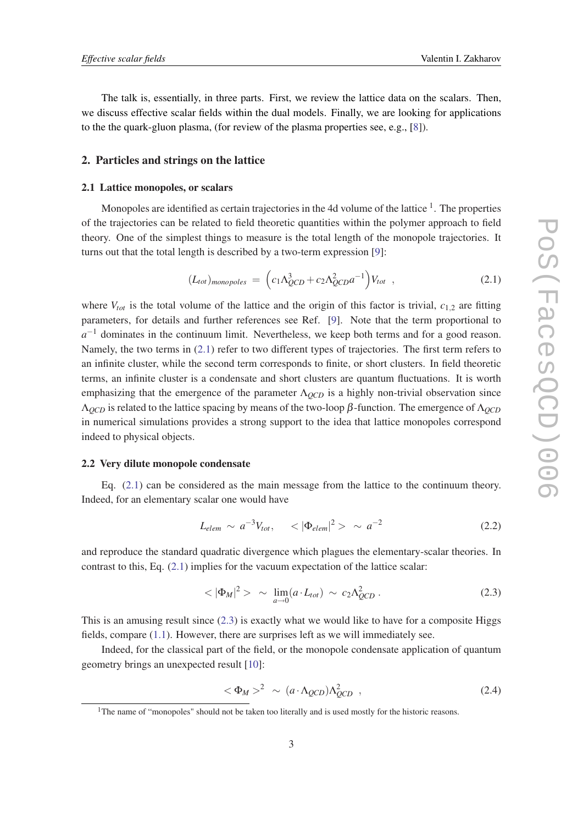<span id="page-2-0"></span>The talk is, essentially, in three parts. First, we review the lattice data on the scalars. Then, we discuss effective scalar fields within the dual models. Finally, we are looking for applications to the the quark-gluon plasma, (for review of the plasma properties see, e.g., [\[8\]](#page-10-0)).

### 2. Particles and strings on the lattice

### 2.1 Lattice monopoles, or scalars

Monopoles are identified as certain trajectories in the 4d volume of the lattice  $1$ . The properties of the trajectories can be related to field theoretic quantities within the polymer approach to field theory. One of the simplest things to measure is the total length of the monopole trajectories. It turns out that the total length is described by a two-term expression [\[9](#page-10-0)]:

$$
(L_{tot})_{monopoles} = \left(c_1 \Lambda_{QCD}^3 + c_2 \Lambda_{QCD}^2 a^{-1}\right) V_{tot} , \qquad (2.1)
$$

where  $V_{tot}$  is the total volume of the lattice and the origin of this factor is trivial,  $c_{1,2}$  are fitting parameters, for details and further references see Ref. [\[9\]](#page-10-0). Note that the term proportional to *a*<sup>-1</sup> dominates in the continuum limit. Nevertheless, we keep both terms and for a good reason. Namely, the two terms in (2.1) refer to two different types of trajectories. The first term refers to an infinite cluster, while the second term corresponds to finite, or short clusters. In field theoretic terms, an infinite cluster is a condensate and short clusters are quantum fluctuations. It is worth emphasizing that the emergence of the parameter Λ*QCD* is a highly non-trivial observation since Λ*QCD* is related to the lattice spacing by means of the two-loop β-function. The emergence of Λ*QCD* in numerical simulations provides a strong support to the idea that lattice monopoles correspond indeed to physical objects.

### 2.2 Very dilute monopole condensate

Eq. (2.1) can be considered as the main message from the lattice to the continuum theory. Indeed, for an elementary scalar one would have

$$
L_{elem} \sim a^{-3}V_{tot}, \quad \langle |\Phi_{elem}|^2 \rangle \sim a^{-2} \tag{2.2}
$$

and reproduce the standard quadratic divergence which plagues the elementary-scalar theories. In contrast to this, Eq.  $(2.1)$  implies for the vacuum expectation of the lattice scalar:

$$
\langle |\Phi_M|^2 \rangle \sim \lim_{a \to 0} (a \cdot L_{tot}) \sim c_2 \Lambda_{QCD}^2 \,. \tag{2.3}
$$

This is an amusing result since (2.3) is exactly what we would like to have for a composite Higgs fields, compare [\(1.1\)](#page-1-0). However, there are surprises left as we will immediately see.

Indeed, for the classical part of the field, or the monopole condensate application of quantum geometry brings an unexpected result [\[10](#page-10-0)]:

$$
\langle \Phi_M \rangle^2 \sim (a \cdot \Lambda_{QCD}) \Lambda_{QCD}^2 \quad , \tag{2.4}
$$

<sup>&</sup>lt;sup>1</sup>The name of "monopoles" should not be taken too literally and is used mostly for the historic reasons.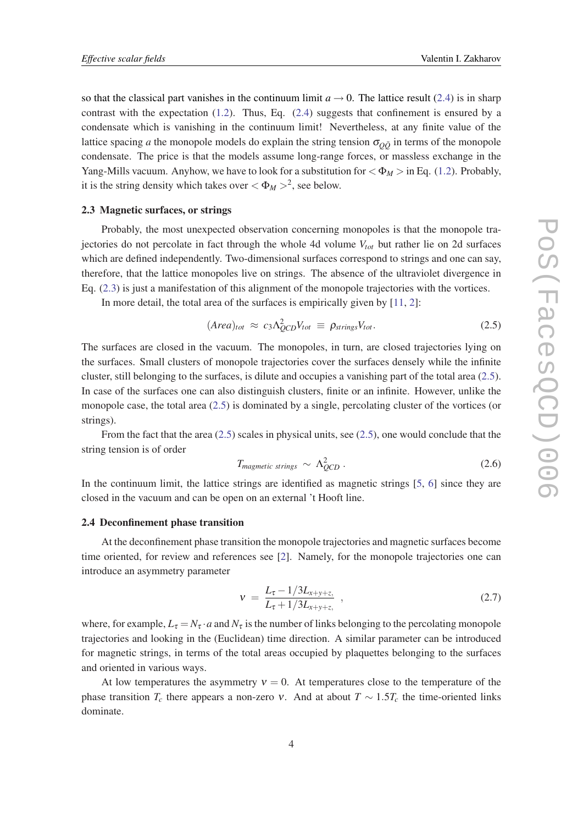so that the classical part vanishes in the continuum limit  $a \to 0$ . The lattice result [\(2.4](#page-2-0)) is in sharp contrast with the expectation  $(1.2)$  $(1.2)$ . Thus, Eq.  $(2.4)$  suggests that confinement is ensured by a condensate which is vanishing in the continuum limit! Nevertheless, at any finite value of the lattice spacing *a* the monopole models do explain the string tension  $\sigma_{\overline{O}\overline{O}}$  in terms of the monopole condensate. The price is that the models assume long-range forces, or massless exchange in the Yang-Mills vacuum. Anyhow, we have to look for a substitution for  $\langle \Phi_M \rangle$  in Eq. [\(1.2\)](#page-1-0). Probably, it is the string density which takes over  $\langle \Phi_M \rangle^2$ , see below.

### 2.3 Magnetic surfaces, or strings

Probably, the most unexpected observation concerning monopoles is that the monopole trajectories do not percolate in fact through the whole 4d volume *Vtot* but rather lie on 2d surfaces which are defined independently. Two-dimensional surfaces correspond to strings and one can say, therefore, that the lattice monopoles live on strings. The absence of the ultraviolet divergence in Eq. [\(2.3\)](#page-2-0) is just a manifestation of this alignment of the monopole trajectories with the vortices.

In more detail, the total area of the surfaces is empirically given by [[11,](#page-10-0) [2\]](#page-10-0):

$$
(Area)_{tot} \approx c_3 \Lambda_{QCD}^2 V_{tot} \equiv \rho_{strings} V_{tot}.
$$
 (2.5)

The surfaces are closed in the vacuum. The monopoles, in turn, are closed trajectories lying on the surfaces. Small clusters of monopole trajectories cover the surfaces densely while the infinite cluster, still belonging to the surfaces, is dilute and occupies a vanishing part of the total area (2.5). In case of the surfaces one can also distinguish clusters, finite or an infinite. However, unlike the monopole case, the total area (2.5) is dominated by a single, percolating cluster of the vortices (or strings).

From the fact that the area (2.5) scales in physical units, see (2.5), one would conclude that the string tension is of order

$$
T_{magnetic \; strings} \sim \Lambda_{QCD}^2 \,. \tag{2.6}
$$

In the continuum limit, the lattice strings are identified as magnetic strings [[5](#page-10-0), [6\]](#page-10-0) since they are closed in the vacuum and can be open on an external 't Hooft line.

### 2.4 Deconfinement phase transition

At the deconfinement phase transition the monopole trajectories and magnetic surfaces become time oriented, for review and references see [[2](#page-10-0)]. Namely, for the monopole trajectories one can introduce an asymmetry parameter

$$
v = \frac{L_{\tau} - 1/3L_{x+y+z}}{L_{\tau} + 1/3L_{x+y+z}} , \qquad (2.7)
$$

where, for example,  $L_{\tau} = N_{\tau} \cdot a$  and  $N_{\tau}$  is the number of links belonging to the percolating monopole trajectories and looking in the (Euclidean) time direction. A similar parameter can be introduced for magnetic strings, in terms of the total areas occupied by plaquettes belonging to the surfaces and oriented in various ways.

At low temperatures the asymmetry  $v = 0$ . At temperatures close to the temperature of the phase transition  $T_c$  there appears a non-zero v. And at about  $T \sim 1.5T_c$  the time-oriented links dominate.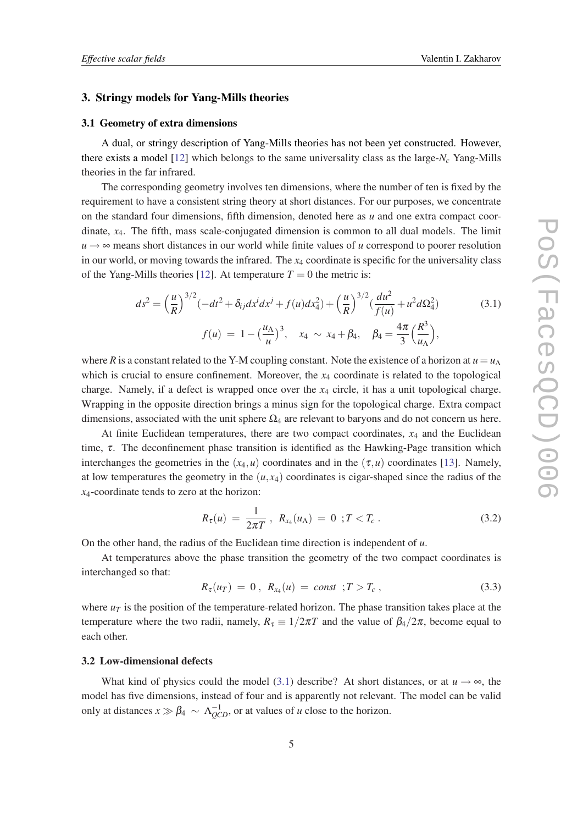### <span id="page-4-0"></span>3. Stringy models for Yang-Mills theories

### 3.1 Geometry of extra dimensions

A dual, or stringy description of Yang-Mills theories has not been yet constructed. However, there exists a model [\[12\]](#page-10-0) which belongs to the same universality class as the large-*N<sup>c</sup>* Yang-Mills theories in the far infrared.

The corresponding geometry involves ten dimensions, where the number of ten is fixed by the requirement to have a consistent string theory at short distances. For our purposes, we concentrate on the standard four dimensions, fifth dimension, denoted here as *u* and one extra compact coordinate, *x*4. The fifth, mass scale-conjugated dimension is common to all dual models. The limit  $u \rightarrow \infty$  means short distances in our world while finite values of *u* correspond to poorer resolution in our world, or moving towards the infrared. The *x*<sup>4</sup> coordinate is specific for the universality class of the Yang-Mills theories [\[12\]](#page-10-0). At temperature  $T = 0$  the metric is:

$$
ds^{2} = \left(\frac{u}{R}\right)^{3/2} \left(-dt^{2} + \delta_{ij}dx^{i}dx^{j} + f(u)dx_{4}^{2}\right) + \left(\frac{u}{R}\right)^{3/2} \left(\frac{du^{2}}{f(u)} + u^{2}d\Omega_{4}^{2}\right)
$$
\n(3.1)\n
$$
f(u) = 1 - \left(\frac{u_{\Lambda}}{u}\right)^{3}, \quad x_{4} \sim x_{4} + \beta_{4}, \quad \beta_{4} = \frac{4\pi}{3} \left(\frac{R^{3}}{u_{\Lambda}}\right),
$$

where *R* is a constant related to the Y-M coupling constant. Note the existence of a horizon at  $u = u_\Lambda$ which is crucial to ensure confinement. Moreover, the  $x_4$  coordinate is related to the topological charge. Namely, if a defect is wrapped once over the *x*<sup>4</sup> circle, it has a unit topological charge. Wrapping in the opposite direction brings a minus sign for the topological charge. Extra compact dimensions, associated with the unit sphere  $\Omega_4$  are relevant to baryons and do not concern us here.

At finite Euclidean temperatures, there are two compact coordinates, *x*<sup>4</sup> and the Euclidean time,  $\tau$ . The deconfinement phase transition is identified as the Hawking-Page transition which interchanges the geometries in the  $(x_4, u)$  coordinates and in the  $(\tau, u)$  coordinates [\[13](#page-10-0)]. Namely, at low temperatures the geometry in the  $(u, x_4)$  coordinates is cigar-shaped since the radius of the *x*4-coordinate tends to zero at the horizon:

$$
R_{\tau}(u) = \frac{1}{2\pi T}, \ R_{x_4}(u_{\Lambda}) = 0 \ ; T < T_c \ . \tag{3.2}
$$

On the other hand, the radius of the Euclidean time direction is independent of *u*.

At temperatures above the phase transition the geometry of the two compact coordinates is interchanged so that:

$$
R_{\tau}(u_T) = 0, R_{x_4}(u) = const \, ; T > T_c \,, \tag{3.3}
$$

where  $u<sub>T</sub>$  is the position of the temperature-related horizon. The phase transition takes place at the temperature where the two radii, namely,  $R_{\tau} \equiv 1/2\pi T$  and the value of  $\beta_4/2\pi$ , become equal to each other.

# 3.2 Low-dimensional defects

What kind of physics could the model (3.1) describe? At short distances, or at  $u \rightarrow \infty$ , the model has five dimensions, instead of four and is apparently not relevant. The model can be valid only at distances  $x \gg \beta_4 \sim \Lambda_{QCD}^{-1}$ , or at values of *u* close to the horizon.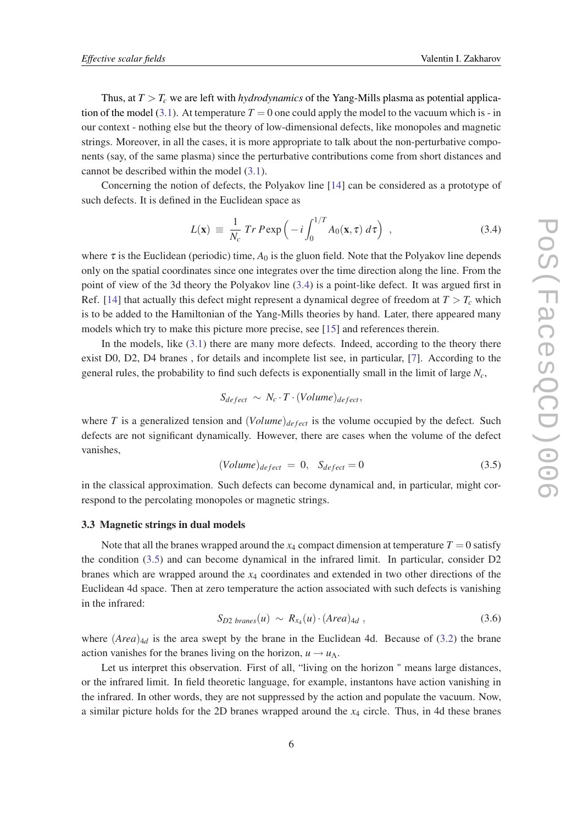Thus, at  $T > T_c$  we are left with *hydrodynamics* of the Yang-Mills plasma as potential applica-tion of the model [\(3.1](#page-4-0)). At temperature  $T = 0$  one could apply the model to the vacuum which is - in our context - nothing else but the theory of low-dimensional defects, like monopoles and magnetic strings. Moreover, in all the cases, it is more appropriate to talk about the non-perturbative components (say, of the same plasma) since the perturbative contributions come from short distances and cannot be described within the model [\(3.1\)](#page-4-0).

Concerning the notion of defects, the Polyakov line [[14\]](#page-10-0) can be considered as a prototype of such defects. It is defined in the Euclidean space as

$$
L(\mathbf{x}) \equiv \frac{1}{N_c} Tr P \exp\left(-i \int_0^{1/T} A_0(\mathbf{x}, \tau) d\tau\right) , \qquad (3.4)
$$

where  $\tau$  is the Euclidean (periodic) time,  $A_0$  is the gluon field. Note that the Polyakov line depends only on the spatial coordinates since one integrates over the time direction along the line. From the point of view of the 3d theory the Polyakov line (3.4) is a point-like defect. It was argued first in Ref. [\[14](#page-10-0)] that actually this defect might represent a dynamical degree of freedom at  $T > T_c$  which is to be added to the Hamiltonian of the Yang-Mills theories by hand. Later, there appeared many models which try to make this picture more precise, see [[15](#page-10-0)] and references therein.

In the models, like ([3.1](#page-4-0)) there are many more defects. Indeed, according to the theory there exist D0, D2, D4 branes , for details and incomplete list see, in particular, [\[7\]](#page-10-0). According to the general rules, the probability to find such defects is exponentially small in the limit of large *Nc*,

$$
S_{defect} \sim N_c \cdot T \cdot (Volume)_{defect},
$$

where *T* is a generalized tension and  $(Volume)_{defect}$  is the volume occupied by the defect. Such defects are not significant dynamically. However, there are cases when the volume of the defect vanishes,

$$
(Volume)_{defect} = 0, \quad S_{defect} = 0 \tag{3.5}
$$

in the classical approximation. Such defects can become dynamical and, in particular, might correspond to the percolating monopoles or magnetic strings.

#### 3.3 Magnetic strings in dual models

Note that all the branes wrapped around the  $x_4$  compact dimension at temperature  $T = 0$  satisfy the condition (3.5) and can become dynamical in the infrared limit. In particular, consider D2 branes which are wrapped around the *x*<sup>4</sup> coordinates and extended in two other directions of the Euclidean 4d space. Then at zero temperature the action associated with such defects is vanishing in the infrared:

$$
S_{D2\ branes}(u) \sim R_{x_4}(u) \cdot (Area)_{4d} , \qquad (3.6)
$$

where  $(Area)_{4d}$  is the area swept by the brane in the Euclidean 4d. Because of [\(3.2](#page-4-0)) the brane action vanishes for the branes living on the horizon,  $u \rightarrow u_\Lambda$ .

Let us interpret this observation. First of all, "living on the horizon " means large distances, or the infrared limit. In field theoretic language, for example, instantons have action vanishing in the infrared. In other words, they are not suppressed by the action and populate the vacuum. Now, a similar picture holds for the 2D branes wrapped around the *x*<sup>4</sup> circle. Thus, in 4d these branes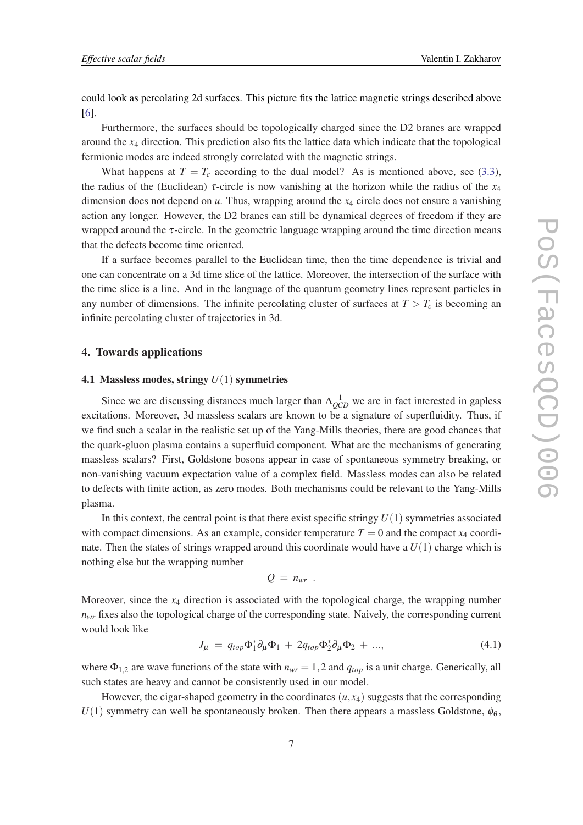<span id="page-6-0"></span>could look as percolating 2d surfaces. This picture fits the lattice magnetic strings described above [[6](#page-10-0)].

Furthermore, the surfaces should be topologically charged since the D2 branes are wrapped around the *x*<sup>4</sup> direction. This prediction also fits the lattice data which indicate that the topological fermionic modes are indeed strongly correlated with the magnetic strings.

What happens at  $T = T_c$  according to the dual model? As is mentioned above, see ([3.3\)](#page-4-0), the radius of the (Euclidean)  $\tau$ -circle is now vanishing at the horizon while the radius of the  $x_4$ dimension does not depend on *u*. Thus, wrapping around the *x*<sup>4</sup> circle does not ensure a vanishing action any longer. However, the D2 branes can still be dynamical degrees of freedom if they are wrapped around the  $\tau$ -circle. In the geometric language wrapping around the time direction means that the defects become time oriented.

If a surface becomes parallel to the Euclidean time, then the time dependence is trivial and one can concentrate on a 3d time slice of the lattice. Moreover, the intersection of the surface with the time slice is a line. And in the language of the quantum geometry lines represent particles in any number of dimensions. The infinite percolating cluster of surfaces at  $T > T_c$  is becoming an infinite percolating cluster of trajectories in 3d.

# 4. Towards applications

### 4.1 Massless modes, stringy *U*(1) symmetries

Since we are discussing distances much larger than  $\Lambda_{QCD}^{-1}$  we are in fact interested in gapless excitations. Moreover, 3d massless scalars are known to be a signature of superfluidity. Thus, if we find such a scalar in the realistic set up of the Yang-Mills theories, there are good chances that the quark-gluon plasma contains a superfluid component. What are the mechanisms of generating massless scalars? First, Goldstone bosons appear in case of spontaneous symmetry breaking, or non-vanishing vacuum expectation value of a complex field. Massless modes can also be related to defects with finite action, as zero modes. Both mechanisms could be relevant to the Yang-Mills plasma.

In this context, the central point is that there exist specific stringy  $U(1)$  symmetries associated with compact dimensions. As an example, consider temperature  $T = 0$  and the compact  $x_4$  coordinate. Then the states of strings wrapped around this coordinate would have a  $U(1)$  charge which is nothing else but the wrapping number

$$
Q = n_{wr} .
$$

Moreover, since the *x*<sup>4</sup> direction is associated with the topological charge, the wrapping number  $n_{wr}$  fixes also the topological charge of the corresponding state. Naively, the corresponding current would look like

$$
J_{\mu} = q_{top} \Phi_1^* \partial_{\mu} \Phi_1 + 2q_{top} \Phi_2^* \partial_{\mu} \Phi_2 + ..., \qquad (4.1)
$$

where  $\Phi_{1,2}$  are wave functions of the state with  $n_{wr} = 1,2$  and  $q_{top}$  is a unit charge. Generically, all such states are heavy and cannot be consistently used in our model.

However, the cigar-shaped geometry in the coordinates  $(u, x_4)$  suggests that the corresponding  $U(1)$  symmetry can well be spontaneously broken. Then there appears a massless Goldstone,  $\phi_{\theta}$ ,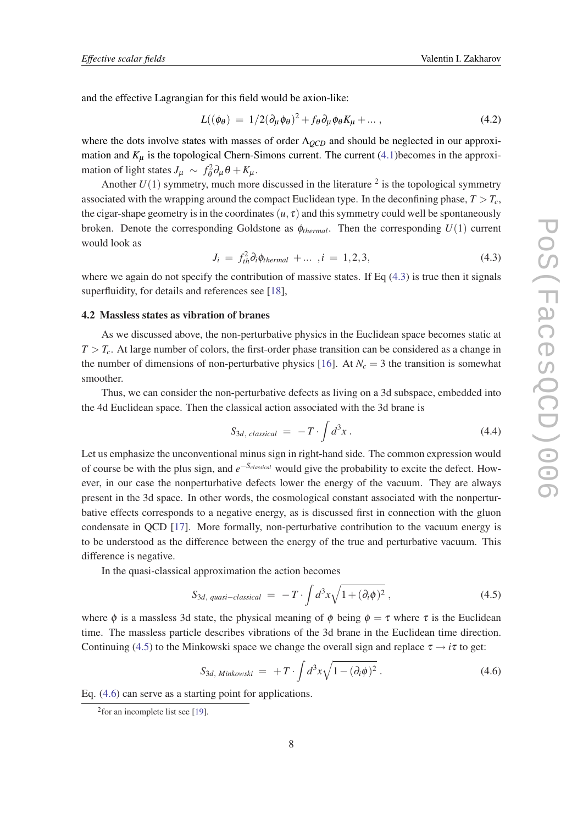<span id="page-7-0"></span>and the effective Lagrangian for this field would be axion-like:

$$
L((\phi_{\theta}) = 1/2(\partial_{\mu}\phi_{\theta})^{2} + f_{\theta}\partial_{\mu}\phi_{\theta}K_{\mu} + ... ,
$$
\n(4.2)

where the dots involve states with masses of order Λ*QCD* and should be neglected in our approximation and  $K_{\mu}$  is the topological Chern-Simons current. The current [\(4.1\)](#page-6-0) becomes in the approximation of light states  $J_{\mu} \sim f_{\theta}^2 \partial_{\mu} \theta + K_{\mu}$ .

Another  $U(1)$  symmetry, much more discussed in the literature  $2$  is the topological symmetry associated with the wrapping around the compact Euclidean type. In the deconfining phase,  $T > T_c$ , the cigar-shape geometry is in the coordinates  $(u, \tau)$  and this symmetry could well be spontaneously broken. Denote the corresponding Goldstone as  $\phi_{thermal}$ . Then the corresponding  $U(1)$  current would look as

$$
J_i = f_{th}^2 \partial_i \phi_{thermal} + \dots, i = 1, 2, 3,
$$
 (4.3)

where we again do not specify the contribution of massive states. If Eq  $(4.3)$  is true then it signals superfluidity, for details and references see [\[18](#page-10-0)],

### 4.2 Massless states as vibration of branes

As we discussed above, the non-perturbative physics in the Euclidean space becomes static at  $T > T_c$ . At large number of colors, the first-order phase transition can be considered as a change in the number of dimensions of non-perturbative physics [[16\]](#page-10-0). At  $N_c = 3$  the transition is somewhat smoother.

Thus, we can consider the non-perturbative defects as living on a 3d subspace, embedded into the 4d Euclidean space. Then the classical action associated with the 3d brane is

$$
S_{3d, \; classical} = -T \cdot \int d^3x \; . \tag{4.4}
$$

Let us emphasize the unconventional minus sign in right-hand side. The common expression would of course be with the plus sign, and *e* <sup>−</sup>*Sclassical* would give the probability to excite the defect. However, in our case the nonperturbative defects lower the energy of the vacuum. They are always present in the 3d space. In other words, the cosmological constant associated with the nonperturbative effects corresponds to a negative energy, as is discussed first in connection with the gluon condensate in QCD [[17\]](#page-10-0). More formally, non-perturbative contribution to the vacuum energy is to be understood as the difference between the energy of the true and perturbative vacuum. This difference is negative.

In the quasi-classical approximation the action becomes

$$
S_{3d, quasi-classical} = -T \cdot \int d^3x \sqrt{1 + (\partial_i \phi)^2} , \qquad (4.5)
$$

where  $\phi$  is a massless 3d state, the physical meaning of  $\phi$  being  $\phi = \tau$  where  $\tau$  is the Euclidean time. The massless particle describes vibrations of the 3d brane in the Euclidean time direction. Continuing (4.5) to the Minkowski space we change the overall sign and replace  $\tau \rightarrow i\tau$  to get:

$$
S_{3d, Minkowski} = +T \cdot \int d^3x \sqrt{1 - (\partial_i \phi)^2} \ . \tag{4.6}
$$

Eq. (4.6) can serve as a starting point for applications.

<sup>&</sup>lt;sup>2</sup> for an incomplete list see [\[19](#page-10-0)].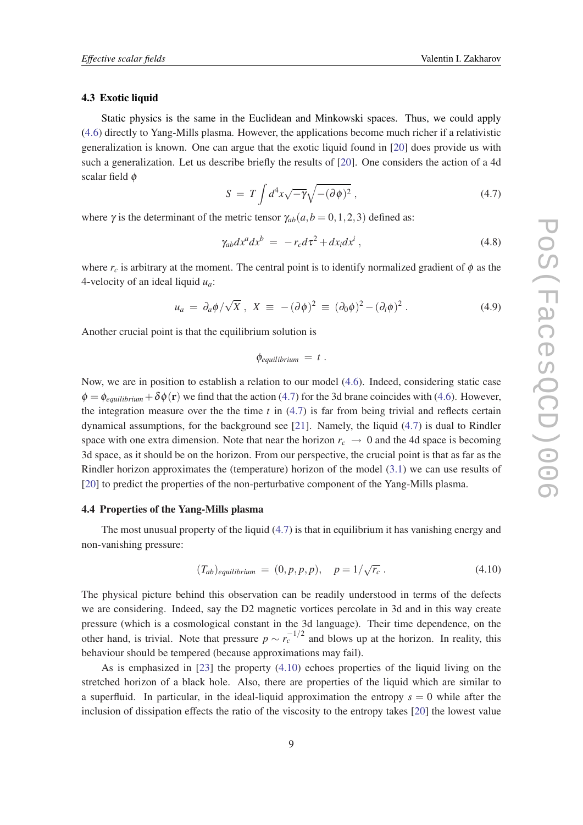### <span id="page-8-0"></span>4.3 Exotic liquid

Static physics is the same in the Euclidean and Minkowski spaces. Thus, we could apply ([4.6\)](#page-7-0) directly to Yang-Mills plasma. However, the applications become much richer if a relativistic generalization is known. One can argue that the exotic liquid found in [\[20\]](#page-10-0) does provide us with such a generalization. Let us describe briefly the results of [[20\]](#page-10-0). One considers the action of a 4d scalar field φ

$$
S = T \int d^4x \sqrt{-\gamma} \sqrt{-(\partial \phi)^2} , \qquad (4.7)
$$

where  $\gamma$  is the determinant of the metric tensor  $\gamma_{ab}(a, b = 0, 1, 2, 3)$  defined as:

$$
\gamma_{ab}dx^a dx^b = -r_c d\tau^2 + dx_i dx^i , \qquad (4.8)
$$

where  $r_c$  is arbitrary at the moment. The central point is to identify normalized gradient of  $\phi$  as the 4-velocity of an ideal liquid *ua*:

$$
u_a = \partial_a \phi / \sqrt{X} \ , \ X \equiv -(\partial \phi)^2 \equiv (\partial_0 \phi)^2 - (\partial_i \phi)^2 \ . \tag{4.9}
$$

Another crucial point is that the equilibrium solution is

$$
\phi_{equilibrium} = t.
$$

Now, we are in position to establish a relation to our model ([4.6](#page-7-0)). Indeed, considering static case  $\phi = \phi_{equilibrium} + \delta \phi(\mathbf{r})$  we find that the action (4.7) for the 3d brane coincides with [\(4.6\)](#page-7-0). However, the integration measure over the the time  $t$  in  $(4.7)$  is far from being trivial and reflects certain dynamical assumptions, for the background see [\[21](#page-11-0)]. Namely, the liquid (4.7) is dual to Rindler space with one extra dimension. Note that near the horizon  $r_c \rightarrow 0$  and the 4d space is becoming 3d space, as it should be on the horizon. From our perspective, the crucial point is that as far as the Rindler horizon approximates the (temperature) horizon of the model ([3.1](#page-4-0)) we can use results of [[20\]](#page-10-0) to predict the properties of the non-perturbative component of the Yang-Mills plasma.

### 4.4 Properties of the Yang-Mills plasma

The most unusual property of the liquid (4.7) is that in equilibrium it has vanishing energy and non-vanishing pressure:

$$
(T_{ab})_{equilibrium} = (0, p, p, p), \quad p = 1/\sqrt{r_c} \,. \tag{4.10}
$$

The physical picture behind this observation can be readily understood in terms of the defects we are considering. Indeed, say the D2 magnetic vortices percolate in 3d and in this way create pressure (which is a cosmological constant in the 3d language). Their time dependence, on the other hand, is trivial. Note that pressure  $p \sim r_c^{-1/2}$  and blows up at the horizon. In reality, this behaviour should be tempered (because approximations may fail).

As is emphasized in [[23\]](#page-11-0) the property (4.10) echoes properties of the liquid living on the stretched horizon of a black hole. Also, there are properties of the liquid which are similar to a superfluid. In particular, in the ideal-liquid approximation the entropy  $s = 0$  while after the inclusion of dissipation effects the ratio of the viscosity to the entropy takes [\[20](#page-10-0)] the lowest value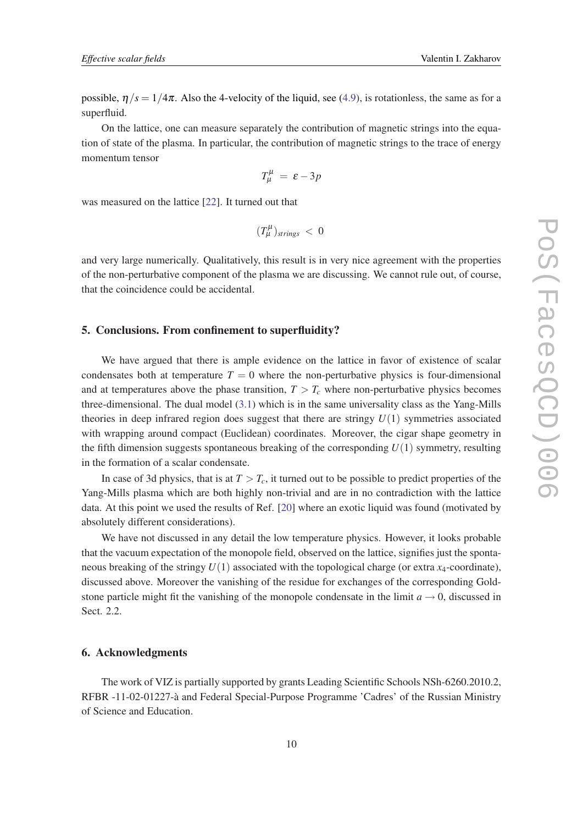possible,  $\eta/s = 1/4\pi$ . Also the 4-velocity of the liquid, see ([4.9\)](#page-8-0), is rotationless, the same as for a superfluid.

On the lattice, one can measure separately the contribution of magnetic strings into the equation of state of the plasma. In particular, the contribution of magnetic strings to the trace of energy momentum tensor

$$
T^{\mu}_{\mu} = \varepsilon - 3p
$$

was measured on the lattice [\[22](#page-11-0)]. It turned out that

$$
(T^{\mu}_{\mu})_{strings} < 0
$$

and very large numerically. Qualitatively, this result is in very nice agreement with the properties of the non-perturbative component of the plasma we are discussing. We cannot rule out, of course, that the coincidence could be accidental.

## 5. Conclusions. From confinement to superfluidity?

We have argued that there is ample evidence on the lattice in favor of existence of scalar condensates both at temperature  $T = 0$  where the non-perturbative physics is four-dimensional and at temperatures above the phase transition,  $T > T_c$  where non-perturbative physics becomes three-dimensional. The dual model  $(3.1)$  $(3.1)$  which is in the same universality class as the Yang-Mills theories in deep infrared region does suggest that there are stringy  $U(1)$  symmetries associated with wrapping around compact (Euclidean) coordinates. Moreover, the cigar shape geometry in the fifth dimension suggests spontaneous breaking of the corresponding  $U(1)$  symmetry, resulting in the formation of a scalar condensate.

In case of 3d physics, that is at  $T > T_c$ , it turned out to be possible to predict properties of the Yang-Mills plasma which are both highly non-trivial and are in no contradiction with the lattice data. At this point we used the results of Ref. [\[20](#page-10-0)] where an exotic liquid was found (motivated by absolutely different considerations).

We have not discussed in any detail the low temperature physics. However, it looks probable that the vacuum expectation of the monopole field, observed on the lattice, signifies just the spontaneous breaking of the stringy  $U(1)$  associated with the topological charge (or extra  $x_4$ -coordinate), discussed above. Moreover the vanishing of the residue for exchanges of the corresponding Goldstone particle might fit the vanishing of the monopole condensate in the limit  $a \rightarrow 0$ , discussed in Sect. 2.2.

## 6. Acknowledgments

The work of VIZ is partially supported by grants Leading Scientific Schools NSh-6260.2010.2, RFBR -11-02-01227-à and Federal Special-Purpose Programme 'Cadres' of the Russian Ministry of Science and Education.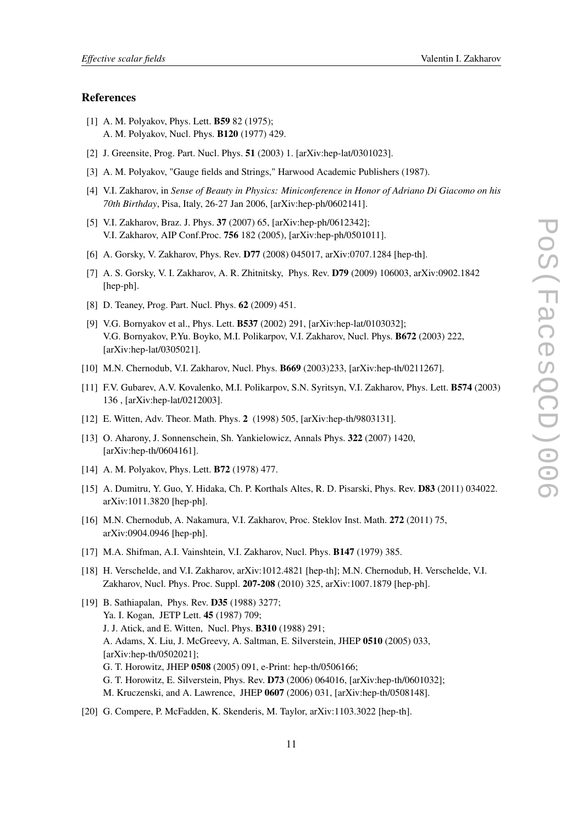### <span id="page-10-0"></span>References

- [1] A. M. Polyakov, Phys. Lett. B59 82 (1975); A. M. Polyakov, Nucl. Phys. B120 (1977) 429.
- [2] J. Greensite, Prog. Part. Nucl. Phys. **51** (2003) 1. [arXiv:hep-lat/0301023].
- [3] A. M. Polyakov, "Gauge fields and Strings," Harwood Academic Publishers (1987).
- [4] V.I. Zakharov, in *Sense of Beauty in Physics: Miniconference in Honor of Adriano Di Giacomo on his 70th Birthday*, Pisa, Italy, 26-27 Jan 2006, [arXiv:hep-ph/0602141].
- [5] V.I. Zakharov, Braz. J. Phys. 37 (2007) 65, [arXiv:hep-ph/0612342]; V.I. Zakharov, AIP Conf.Proc. 756 182 (2005), [arXiv:hep-ph/0501011].
- [6] A. Gorsky, V. Zakharov, Phys. Rev. D77 (2008) 045017, arXiv:0707.1284 [hep-th].
- [7] A. S. Gorsky, V. I. Zakharov, A. R. Zhitnitsky, Phys. Rev. D79 (2009) 106003, arXiv:0902.1842 [hep-ph].
- [8] D. Teaney, Prog. Part. Nucl. Phys. 62 (2009) 451.
- [9] V.G. Bornyakov et al., Phys. Lett. B537 (2002) 291, [arXiv:hep-lat/0103032]; V.G. Bornyakov, P.Yu. Boyko, M.I. Polikarpov, V.I. Zakharov, Nucl. Phys. B672 (2003) 222, [arXiv:hep-lat/0305021].
- [10] M.N. Chernodub, V.I. Zakharov, Nucl. Phys. **B669** (2003)233, [arXiv:hep-th/0211267].
- [11] F.V. Gubarev, A.V. Kovalenko, M.I. Polikarpov, S.N. Syritsyn, V.I. Zakharov, Phys. Lett. B574 (2003) 136 , [arXiv:hep-lat/0212003].
- [12] E. Witten, Adv. Theor. Math. Phys. 2 (1998) 505, [arXiv:hep-th/9803131].
- [13] O. Aharony, J. Sonnenschein, Sh. Yankielowicz, Annals Phys. 322 (2007) 1420, [arXiv:hep-th/0604161].
- [14] A. M. Polyakov, Phys. Lett. **B72** (1978) 477.
- [15] A. Dumitru, Y. Guo, Y. Hidaka, Ch. P. Korthals Altes, R. D. Pisarski, Phys. Rev. D83 (2011) 034022. arXiv:1011.3820 [hep-ph].
- [16] M.N. Chernodub, A. Nakamura, V.I. Zakharov, Proc. Steklov Inst. Math. 272 (2011) 75, arXiv:0904.0946 [hep-ph].
- [17] M.A. Shifman, A.I. Vainshtein, V.I. Zakharov, Nucl. Phys. **B147** (1979) 385.
- [18] H. Verschelde, and V.I. Zakharov, arXiv:1012.4821 [hep-th]; M.N. Chernodub, H. Verschelde, V.I. Zakharov, Nucl. Phys. Proc. Suppl. 207-208 (2010) 325, arXiv:1007.1879 [hep-ph].
- [19] B. Sathiapalan, Phys. Rev. D35 (1988) 3277; Ya. I. Kogan, JETP Lett. 45 (1987) 709; J. J. Atick, and E. Witten, Nucl. Phys. B310 (1988) 291; A. Adams, X. Liu, J. McGreevy, A. Saltman, E. Silverstein, JHEP 0510 (2005) 033, [arXiv:hep-th/0502021]; G. T. Horowitz, JHEP 0508 (2005) 091, e-Print: hep-th/0506166; G. T. Horowitz, E. Silverstein, Phys. Rev. D73 (2006) 064016, [arXiv:hep-th/0601032]; M. Kruczenski, and A. Lawrence, JHEP 0607 (2006) 031, [arXiv:hep-th/0508148].
- [20] G. Compere, P. McFadden, K. Skenderis, M. Taylor, arXiv:1103.3022 [hep-th].